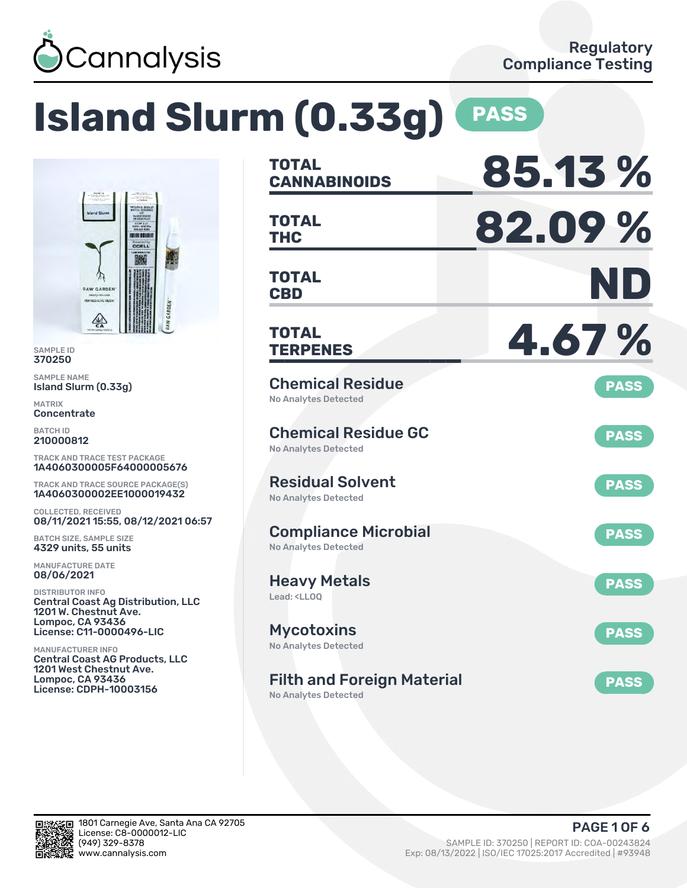

**TO DITT ONLY Dowered by**<br>CCELL 糕

### **Island Slurm (0.33g) PASS TOTAL CANNABINOIDS 85.13 % TOTAL THC 82.09 % TOTAL CBD ND TOTAL TERPENES 4.67 %** Chemical Residue No Analytes Detected **PASS** Chemical Residue GC No Analytes Detected **PASS** Residual Solvent No Analytes Detected **PASS** Compliance Microbial No Analytes Detected **PASS** Heavy Metals Lead: <LLOQ **PASS Mycotoxins** No Analytes Detected **PASS** Filth and Foreign Material **PASS** TRACK AND TRACE TEST PACKAGE 1A4060300005F64000005676 TRACK AND TRACE SOURCE PACKAGE(S) 1A4060300002EE1000019432 08/11/2021 15:55, 08/12/2021 06:57 Central Coast Ag Distribution, LLC License: C11-0000496-LIC Central Coast AG Products, LLC License: CDPH-10003156

No Analytes Detected



SAMPLE ID 370250 SAMPLE NAME

MATRIX **Concentrate** BATCH ID 210000812

Island Slurm (0.33g)

**RAW GARDEN** INED LIVE RI  $\sum_{n=1}^{\infty}$ 

COLLECTED, RECEIVED

BATCH SIZE, SAMPLE SIZE 4329 units, 55 units MANUFACTURE DATE 08/06/2021 DISTRIBUTOR INFO

1201 W. Chestnut Ave. Lompoc, CA 93436

1201 West Chestnut Ave. Lompoc, CA 93436

MANUFACTURER INFO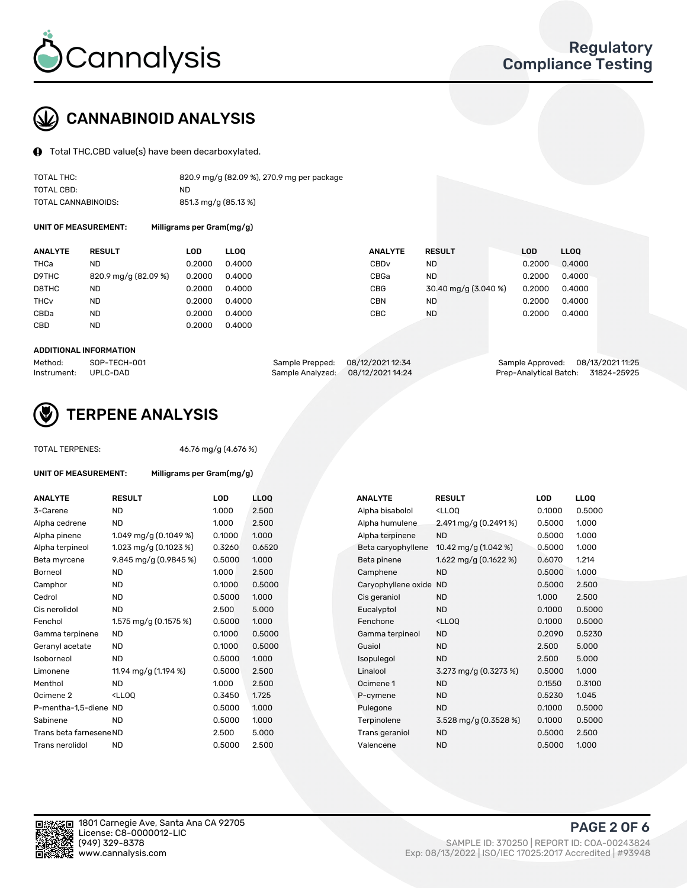

# CANNABINOID ANALYSIS

Total THC,CBD value(s) have been decarboxylated.

| TOTAL THC:          | 820.9 mg/g (82.09 %), 270.9 mg per package |
|---------------------|--------------------------------------------|
| TOTAL CBD:          | ND.                                        |
| TOTAL CANNABINOIDS: | 851.3 mg/g (85.13 %)                       |

UNIT OF MEASUREMENT: Milligrams per Gram(mg/g)

| <b>ANALYTE</b>         | <b>RESULT</b>        | LOD    | <b>LLOO</b> | <b>ANALYTE</b>   | <b>RESULT</b>        | LOD    | LL <sub>00</sub> |
|------------------------|----------------------|--------|-------------|------------------|----------------------|--------|------------------|
| THCa                   | ND                   | 0.2000 | 0.4000      | CBD <sub>v</sub> | ND                   | 0.2000 | 0.4000           |
| D9THC                  | 820.9 mg/g (82.09 %) | 0.2000 | 0.4000      | CBGa             | <b>ND</b>            | 0.2000 | 0.4000           |
| D8THC                  | <b>ND</b>            | 0.2000 | 0.4000      | CBG              | 30.40 mg/g (3.040 %) | 0.2000 | 0.4000           |
| <b>THC<sub>v</sub></b> | <b>ND</b>            | 0.2000 | 0.4000      | <b>CBN</b>       | <b>ND</b>            | 0.2000 | 0.4000           |
| CBDa                   | <b>ND</b>            | 0.2000 | 0.4000      | CBC              | <b>ND</b>            | 0.2000 | 0.4000           |
| <b>CBD</b>             | ND                   | 0.2000 | 0.4000      |                  |                      |        |                  |

#### ADDITIONAL INFORMATION

| Method:              | SOP-TECH-001 | Sample Prepped: 08/12/2021 12:34 |                                   | Sample Approved: 08/13/2021 11:25  |  |
|----------------------|--------------|----------------------------------|-----------------------------------|------------------------------------|--|
| Instrument: UPLC-DAD |              |                                  | Sample Analyzed: 08/12/2021 14:24 | Prep-Analytical Batch: 31824-25925 |  |



# TERPENE ANALYSIS

UNIT OF MEASUREMENT: Milligrams per Gram(mg/g)

| TUTAL TERPENES: |  |
|-----------------|--|
|                 |  |
|                 |  |

TOTAL TERPENES: 46.76 mg/g (4.676 %)

| <b>ANALYTE</b>          | <b>RESULT</b>                                                                                                               | <b>LOD</b> | <b>LLOO</b> |  | <b>ANALYTE</b>         | <b>RESULT</b>                                       | <b>LOD</b> | <b>LLOO</b> |
|-------------------------|-----------------------------------------------------------------------------------------------------------------------------|------------|-------------|--|------------------------|-----------------------------------------------------|------------|-------------|
| 3-Carene                | <b>ND</b>                                                                                                                   | 1.000      | 2.500       |  | Alpha bisabolol        | <ll0q< td=""><td>0.1000</td><td>0.5000</td></ll0q<> | 0.1000     | 0.5000      |
| Alpha cedrene           | <b>ND</b>                                                                                                                   | 1.000      | 2.500       |  | Alpha humulene         | 2.491 mg/g $(0.2491\%)$                             | 0.5000     | 1.000       |
| Alpha pinene            | 1.049 mg/g $(0.1049\%)$                                                                                                     | 0.1000     | 1.000       |  | Alpha terpinene        | <b>ND</b>                                           | 0.5000     | 1.000       |
| Alpha terpineol         | 1.023 mg/g $(0.1023 \%)$                                                                                                    | 0.3260     | 0.6520      |  | Beta caryophyllene     | 10.42 mg/g (1.042 %)                                | 0.5000     | 1.000       |
| Beta myrcene            | 9.845 mg/g (0.9845 %)                                                                                                       | 0.5000     | 1.000       |  | Beta pinene            | 1.622 mg/g $(0.1622%)$                              | 0.6070     | 1.214       |
| <b>Borneol</b>          | <b>ND</b>                                                                                                                   | 1.000      | 2.500       |  | Camphene               | <b>ND</b>                                           | 0.5000     | 1.000       |
| Camphor                 | <b>ND</b>                                                                                                                   | 0.1000     | 0.5000      |  | Caryophyllene oxide ND |                                                     | 0.5000     | 2.500       |
| Cedrol                  | <b>ND</b>                                                                                                                   | 0.5000     | 1.000       |  | Cis geraniol           | <b>ND</b>                                           | 1.000      | 2.500       |
| Cis nerolidol           | <b>ND</b>                                                                                                                   | 2.500      | 5.000       |  | Eucalyptol             | <b>ND</b>                                           | 0.1000     | 0.5000      |
| Fenchol                 | 1.575 mg/g (0.1575 %)                                                                                                       | 0.5000     | 1.000       |  | Fenchone               | <lloq< td=""><td>0.1000</td><td>0.5000</td></lloq<> | 0.1000     | 0.5000      |
| Gamma terpinene         | <b>ND</b>                                                                                                                   | 0.1000     | 0.5000      |  | Gamma terpineol        | <b>ND</b>                                           | 0.2090     | 0.5230      |
| Geranyl acetate         | <b>ND</b>                                                                                                                   | 0.1000     | 0.5000      |  | Guaiol                 | <b>ND</b>                                           | 2.500      | 5.000       |
| Isoborneol              | <b>ND</b>                                                                                                                   | 0.5000     | 1.000       |  | Isopulegol             | <b>ND</b>                                           | 2.500      | 5.000       |
| Limonene                | 11.94 mg/g (1.194 %)                                                                                                        | 0.5000     | 2.500       |  | Linalool               | 3.273 mg/g (0.3273 %)                               | 0.5000     | 1.000       |
| Menthol                 | <b>ND</b>                                                                                                                   | 1.000      | 2.500       |  | Ocimene 1              | <b>ND</b>                                           | 0.1550     | 0.3100      |
| Ocimene <sub>2</sub>    | <ll0q< td=""><td>0.3450</td><td>1.725</td><td></td><td>P-cymene</td><td><b>ND</b></td><td>0.5230</td><td>1.045</td></ll0q<> | 0.3450     | 1.725       |  | P-cymene               | <b>ND</b>                                           | 0.5230     | 1.045       |
| P-mentha-1.5-diene ND   |                                                                                                                             | 0.5000     | 1.000       |  | Pulegone               | <b>ND</b>                                           | 0.1000     | 0.5000      |
| Sabinene                | <b>ND</b>                                                                                                                   | 0.5000     | 1.000       |  | Terpinolene            | 3.528 mg/g (0.3528 %)                               | 0.1000     | 0.5000      |
| Trans beta farnesene ND |                                                                                                                             | 2.500      | 5.000       |  | Trans geraniol         | <b>ND</b>                                           | 0.5000     | 2.500       |
| Trans nerolidol         | <b>ND</b>                                                                                                                   | 0.5000     | 2.500       |  | Valencene              | <b>ND</b>                                           | 0.5000     | 1.000       |

| <b>NALYTE</b>          | <b>RESULT</b>                                       | LOD    | LL <sub>OO</sub> |
|------------------------|-----------------------------------------------------|--------|------------------|
| <b>Npha bisabolol</b>  | <lloq< td=""><td>0.1000</td><td>0.5000</td></lloq<> | 0.1000 | 0.5000           |
| <b>Npha humulene</b>   | 2.491 mg/g (0.2491%)                                | 0.5000 | 1.000            |
| <b>Npha terpinene</b>  | <b>ND</b>                                           | 0.5000 | 1.000            |
| Beta caryophyllene     | 10.42 mg/g $(1.042 \%)$                             | 0.5000 | 1.000            |
| 3eta pinene            | 1.622 mg/g (0.1622 %)                               | 0.6070 | 1.214            |
| Camphene               | <b>ND</b>                                           | 0.5000 | 1.000            |
| Caryophyllene oxide ND |                                                     | 0.5000 | 2.500            |
| Cis geraniol           | <b>ND</b>                                           | 1.000  | 2.500            |
| ucalyptol:             | <b>ND</b>                                           | 0.1000 | 0.5000           |
| Fenchone               | <lloq< td=""><td>0.1000</td><td>0.5000</td></lloq<> | 0.1000 | 0.5000           |
| Gamma terpineol        | <b>ND</b>                                           | 0.2090 | 0.5230           |
| <b>Guaiol</b>          | <b>ND</b>                                           | 2.500  | 5.000            |
| sopulegol              | <b>ND</b>                                           | 2.500  | 5.000            |
| .inalool               | 3.273 mg/g (0.3273 %)                               | 0.5000 | 1.000            |
| )cimene 1              | <b>ND</b>                                           | 0.1550 | 0.3100           |
| <sup>2</sup> -cymene   | ND.                                                 | 0.5230 | 1.045            |
| Pulegone               | <b>ND</b>                                           | 0.1000 | 0.5000           |
| erpinolene             | 3.528 mg/g (0.3528 %)                               | 0.1000 | 0.5000           |
| rans geraniol          | ND.                                                 | 0.5000 | 2.500            |
| /alencene              | <b>ND</b>                                           | 0.5000 | 1.000            |

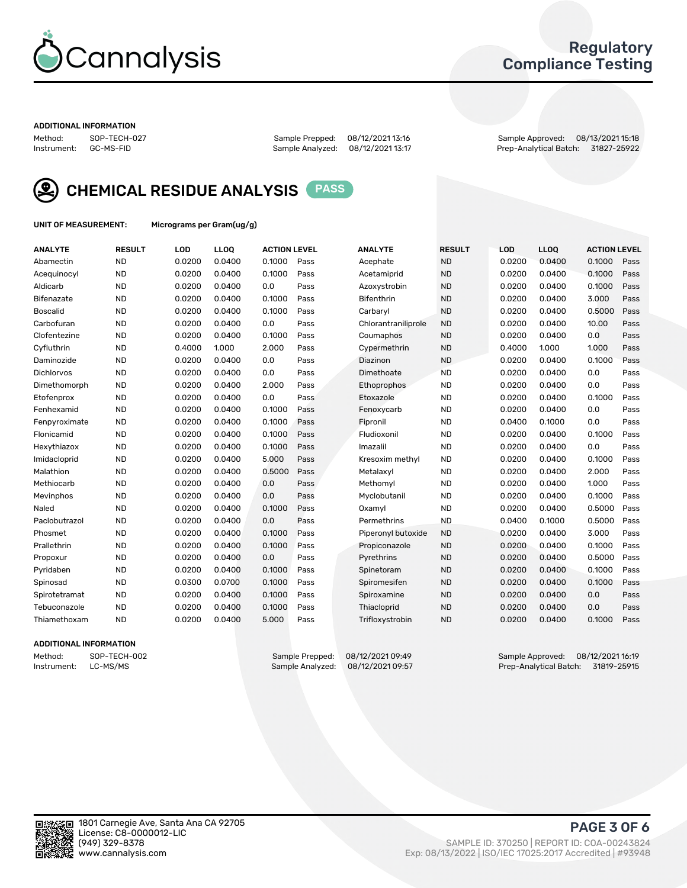

## Regulatory Compliance Testing

#### ADDITIONAL INFORMATION

Method: SOP-TECH-027 Sample Prepped: 08/12/2021 13:16 Sample Approved: 08/13/2021 15:18 Prep-Analytical Batch: 31827-25922



CHEMICAL RESIDUE ANALYSIS PASS

UNIT OF MEASUREMENT: Micrograms per Gram(ug/g)

| <b>ANALYTE</b>  | <b>RESULT</b> | LOD    | LLOQ   | <b>ACTION LEVEL</b> |      | <b>ANALYTE</b>      | <b>RESULT</b> | <b>LOD</b> | <b>LLOQ</b> | <b>ACTION LEVEL</b> |      |
|-----------------|---------------|--------|--------|---------------------|------|---------------------|---------------|------------|-------------|---------------------|------|
| Abamectin       | <b>ND</b>     | 0.0200 | 0.0400 | 0.1000              | Pass | Acephate            | <b>ND</b>     | 0.0200     | 0.0400      | 0.1000              | Pass |
| Acequinocyl     | <b>ND</b>     | 0.0200 | 0.0400 | 0.1000              | Pass | Acetamiprid         | <b>ND</b>     | 0.0200     | 0.0400      | 0.1000              | Pass |
| Aldicarb        | <b>ND</b>     | 0.0200 | 0.0400 | 0.0                 | Pass | Azoxystrobin        | <b>ND</b>     | 0.0200     | 0.0400      | 0.1000              | Pass |
| Bifenazate      | <b>ND</b>     | 0.0200 | 0.0400 | 0.1000              | Pass | Bifenthrin          | <b>ND</b>     | 0.0200     | 0.0400      | 3.000               | Pass |
| <b>Boscalid</b> | <b>ND</b>     | 0.0200 | 0.0400 | 0.1000              | Pass | Carbaryl            | <b>ND</b>     | 0.0200     | 0.0400      | 0.5000              | Pass |
| Carbofuran      | <b>ND</b>     | 0.0200 | 0.0400 | 0.0                 | Pass | Chlorantraniliprole | <b>ND</b>     | 0.0200     | 0.0400      | 10.00               | Pass |
| Clofentezine    | <b>ND</b>     | 0.0200 | 0.0400 | 0.1000              | Pass | Coumaphos           | <b>ND</b>     | 0.0200     | 0.0400      | 0.0                 | Pass |
| Cyfluthrin      | <b>ND</b>     | 0.4000 | 1.000  | 2.000               | Pass | Cypermethrin        | <b>ND</b>     | 0.4000     | 1.000       | 1.000               | Pass |
| Daminozide      | <b>ND</b>     | 0.0200 | 0.0400 | 0.0                 | Pass | Diazinon            | <b>ND</b>     | 0.0200     | 0.0400      | 0.1000              | Pass |
| Dichlorvos      | <b>ND</b>     | 0.0200 | 0.0400 | 0.0                 | Pass | Dimethoate          | <b>ND</b>     | 0.0200     | 0.0400      | 0.0                 | Pass |
| Dimethomorph    | <b>ND</b>     | 0.0200 | 0.0400 | 2.000               | Pass | Ethoprophos         | <b>ND</b>     | 0.0200     | 0.0400      | 0.0                 | Pass |
| Etofenprox      | <b>ND</b>     | 0.0200 | 0.0400 | 0.0                 | Pass | Etoxazole           | <b>ND</b>     | 0.0200     | 0.0400      | 0.1000              | Pass |
| Fenhexamid      | <b>ND</b>     | 0.0200 | 0.0400 | 0.1000              | Pass | Fenoxycarb          | <b>ND</b>     | 0.0200     | 0.0400      | 0.0                 | Pass |
| Fenpyroximate   | <b>ND</b>     | 0.0200 | 0.0400 | 0.1000              | Pass | Fipronil            | <b>ND</b>     | 0.0400     | 0.1000      | 0.0                 | Pass |
| Flonicamid      | <b>ND</b>     | 0.0200 | 0.0400 | 0.1000              | Pass | Fludioxonil         | <b>ND</b>     | 0.0200     | 0.0400      | 0.1000              | Pass |
| Hexythiazox     | <b>ND</b>     | 0.0200 | 0.0400 | 0.1000              | Pass | Imazalil            | <b>ND</b>     | 0.0200     | 0.0400      | 0.0                 | Pass |
| Imidacloprid    | <b>ND</b>     | 0.0200 | 0.0400 | 5.000               | Pass | Kresoxim methyl     | <b>ND</b>     | 0.0200     | 0.0400      | 0.1000              | Pass |
| Malathion       | <b>ND</b>     | 0.0200 | 0.0400 | 0.5000              | Pass | Metalaxyl           | <b>ND</b>     | 0.0200     | 0.0400      | 2.000               | Pass |
| Methiocarb      | <b>ND</b>     | 0.0200 | 0.0400 | 0.0                 | Pass | Methomyl            | <b>ND</b>     | 0.0200     | 0.0400      | 1.000               | Pass |
| Mevinphos       | <b>ND</b>     | 0.0200 | 0.0400 | 0.0                 | Pass | Myclobutanil        | <b>ND</b>     | 0.0200     | 0.0400      | 0.1000              | Pass |
| Naled           | <b>ND</b>     | 0.0200 | 0.0400 | 0.1000              | Pass | Oxamyl              | <b>ND</b>     | 0.0200     | 0.0400      | 0.5000              | Pass |
| Paclobutrazol   | <b>ND</b>     | 0.0200 | 0.0400 | 0.0                 | Pass | Permethrins         | <b>ND</b>     | 0.0400     | 0.1000      | 0.5000              | Pass |
| Phosmet         | <b>ND</b>     | 0.0200 | 0.0400 | 0.1000              | Pass | Piperonyl butoxide  | <b>ND</b>     | 0.0200     | 0.0400      | 3.000               | Pass |
| Prallethrin     | <b>ND</b>     | 0.0200 | 0.0400 | 0.1000              | Pass | Propiconazole       | <b>ND</b>     | 0.0200     | 0.0400      | 0.1000              | Pass |
| Propoxur        | <b>ND</b>     | 0.0200 | 0.0400 | 0.0                 | Pass | Pyrethrins          | <b>ND</b>     | 0.0200     | 0.0400      | 0.5000              | Pass |
| Pyridaben       | <b>ND</b>     | 0.0200 | 0.0400 | 0.1000              | Pass | Spinetoram          | <b>ND</b>     | 0.0200     | 0.0400      | 0.1000              | Pass |
| Spinosad        | <b>ND</b>     | 0.0300 | 0.0700 | 0.1000              | Pass | Spiromesifen        | <b>ND</b>     | 0.0200     | 0.0400      | 0.1000              | Pass |
| Spirotetramat   | <b>ND</b>     | 0.0200 | 0.0400 | 0.1000              | Pass | Spiroxamine         | <b>ND</b>     | 0.0200     | 0.0400      | 0.0                 | Pass |
| Tebuconazole    | <b>ND</b>     | 0.0200 | 0.0400 | 0.1000              | Pass | Thiacloprid         | <b>ND</b>     | 0.0200     | 0.0400      | 0.0                 | Pass |
| Thiamethoxam    | <b>ND</b>     | 0.0200 | 0.0400 | 5.000               | Pass | Trifloxystrobin     | <b>ND</b>     | 0.0200     | 0.0400      | 0.1000              | Pass |

### ADDITIONAL INFORMATION

Method: SOP-TECH-002 Sample Prepped: 08/12/2021 09:49 Sample Approved: 08/12/2021 16:19<br>Instrument: LC-MS/MS Sample Analyzed: 08/12/2021 09:57 Prep-Analytical Batch: 31819-25915 Prep-Analytical Batch: 31819-25915

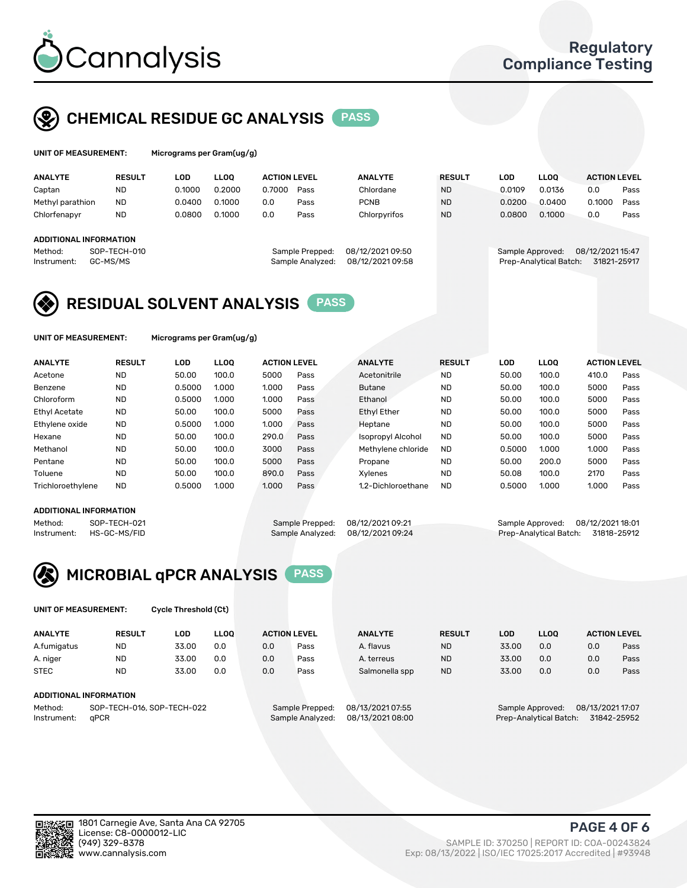

# CHEMICAL RESIDUE GC ANALYSIS PASS

| UNIT OF MEASUREMENT: | м |
|----------------------|---|
|                      |   |

licrograms per Gram(ug/g)

| <b>ANALYTE</b>                                   | <b>RESULT</b>            | LOD    | <b>LLOO</b> | <b>ACTION LEVEL</b> |                                     | <b>ANALYTE</b>                       | <b>RESULT</b> | LOD              | <b>LLOO</b>            | <b>ACTION LEVEL</b>             |      |
|--------------------------------------------------|--------------------------|--------|-------------|---------------------|-------------------------------------|--------------------------------------|---------------|------------------|------------------------|---------------------------------|------|
| Captan                                           | <b>ND</b>                | 0.1000 | 0.2000      | 0.7000              | Pass                                | Chlordane                            | <b>ND</b>     | 0.0109           | 0.0136                 | 0.0                             | Pass |
| Methyl parathion                                 | <b>ND</b>                | 0.0400 | 0.1000      | 0.0                 | Pass                                | <b>PCNB</b>                          | <b>ND</b>     | 0.0200           | 0.0400                 | 0.1000                          | Pass |
| Chlorfenapyr                                     | <b>ND</b>                | 0.0800 | 0.1000      | 0.0                 | Pass                                | Chlorpyrifos                         | <b>ND</b>     | 0.0800           | 0.1000                 | 0.0                             | Pass |
| ADDITIONAL INFORMATION<br>Method:<br>Instrument: | SOP-TECH-010<br>GC-MS/MS |        |             |                     | Sample Prepped:<br>Sample Analyzed: | 08/12/2021 09:50<br>08/12/2021 09:58 |               | Sample Approved: | Prep-Analytical Batch: | 08/12/2021 15:47<br>31821-25917 |      |

# RESIDUAL SOLVENT ANALYSIS PASS

UNIT OF MEASUREMENT: Micrograms per Gram(ug/g)

| <b>ANALYTE</b>       | <b>RESULT</b> | LOD    | <b>LLOO</b> | <b>ACTION LEVEL</b> |      | <b>ANALYTE</b>           | <b>RESULT</b> | LOD    | LLOO  | <b>ACTION LEVEL</b> |      |
|----------------------|---------------|--------|-------------|---------------------|------|--------------------------|---------------|--------|-------|---------------------|------|
| Acetone              | <b>ND</b>     | 50.00  | 100.0       | 5000                | Pass | Acetonitrile             | <b>ND</b>     | 50.00  | 100.0 | 410.0               | Pass |
| Benzene              | <b>ND</b>     | 0.5000 | 1.000       | 1.000               | Pass | <b>Butane</b>            | <b>ND</b>     | 50.00  | 100.0 | 5000                | Pass |
| Chloroform           | <b>ND</b>     | 0.5000 | 1.000       | 1.000               | Pass | Ethanol                  | <b>ND</b>     | 50.00  | 100.0 | 5000                | Pass |
| <b>Ethyl Acetate</b> | <b>ND</b>     | 50.00  | 100.0       | 5000                | Pass | <b>Ethyl Ether</b>       | <b>ND</b>     | 50.00  | 100.0 | 5000                | Pass |
| Ethylene oxide       | <b>ND</b>     | 0.5000 | 1.000       | 1.000               | Pass | Heptane                  | <b>ND</b>     | 50.00  | 100.0 | 5000                | Pass |
| Hexane               | <b>ND</b>     | 50.00  | 100.0       | 290.0               | Pass | <b>Isopropyl Alcohol</b> | <b>ND</b>     | 50.00  | 100.0 | 5000                | Pass |
| Methanol             | <b>ND</b>     | 50.00  | 100.0       | 3000                | Pass | Methylene chloride       | <b>ND</b>     | 0.5000 | 1.000 | 1.000               | Pass |
| Pentane              | <b>ND</b>     | 50.00  | 100.0       | 5000                | Pass | Propane                  | <b>ND</b>     | 50.00  | 200.0 | 5000                | Pass |
| Toluene              | <b>ND</b>     | 50.00  | 100.0       | 890.0               | Pass | Xvlenes                  | <b>ND</b>     | 50.08  | 100.0 | 2170                | Pass |
| Trichloroethylene    | <b>ND</b>     | 0.5000 | 1.000       | 1.000               | Pass | 1.2-Dichloroethane       | <b>ND</b>     | 0.5000 | 1.000 | 1.000               | Pass |

### ADDITIONAL INFORMATION

Method: SOP-TECH-021 Sample Prepped: 08/12/2021 09:21 Sample Approved: 08/12/2021 18:01<br>Instrument: HS-GC-MS/FID Sample Analyzed: 08/12/2021 09:24 Prep-Analytical Batch: 31818-25912 Prep-Analytical Batch: 31818-25912



UNIT OF MEASUREMENT: Cycle Threshold (Ct)

| <b>ANALYTE</b> | <b>RESULT</b>              | LOD   | <b>LLOO</b> |     | <b>ACTION LEVEL</b> | <b>ANALYTE</b>   | <b>RESULT</b> | LOD   | LL <sub>00</sub> |                  | <b>ACTION LEVEL</b> |
|----------------|----------------------------|-------|-------------|-----|---------------------|------------------|---------------|-------|------------------|------------------|---------------------|
| A.fumigatus    | <b>ND</b>                  | 33.00 | 0.0         | 0.0 | Pass                | A. flavus        | <b>ND</b>     | 33.00 | 0.0              | 0.0              | Pass                |
| A. niger       | <b>ND</b>                  | 33.00 | 0.0         | 0.0 | Pass                | A. terreus       | <b>ND</b>     | 33.00 | 0.0              | 0.0              | Pass                |
| <b>STEC</b>    | <b>ND</b>                  | 33.00 | 0.0         | 0.0 | Pass                | Salmonella spp   | <b>ND</b>     | 33.00 | 0.0              | 0.0              | Pass                |
|                | ADDITIONAL INFORMATION     |       |             |     |                     |                  |               |       |                  |                  |                     |
| Method:        | SOP-TECH-016, SOP-TECH-022 |       |             |     | Sample Prepped:     | 08/13/2021 07:55 |               |       | Sample Approved: | 08/13/2021 17:07 |                     |

Instrument: qPCR Sample Analyzed: 08/13/2021 08:00 Prep-Analytical Batch: 31842-25952

PAGE 4 OF 6

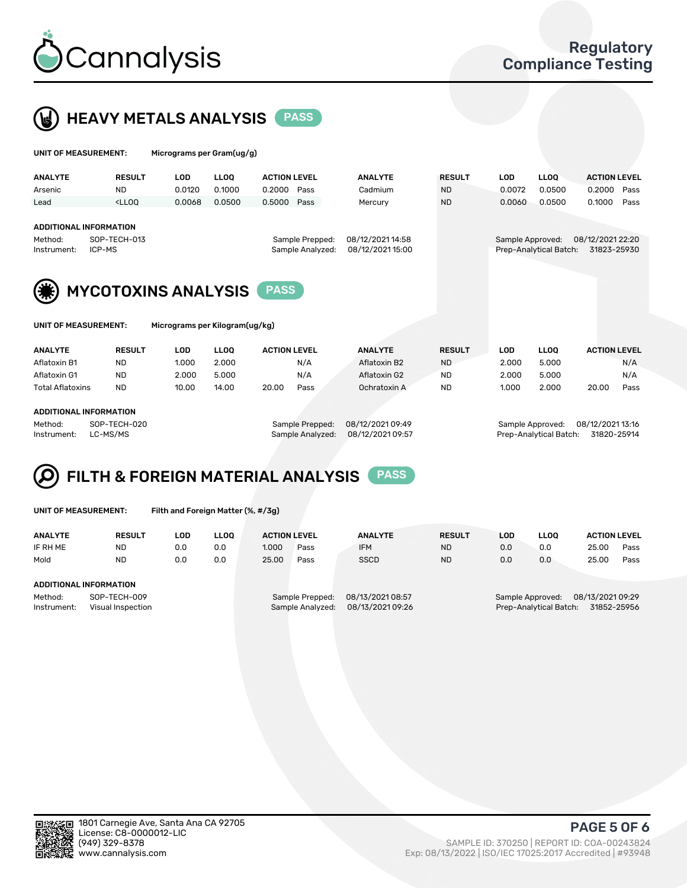



| UNIT OF MEASUREMENT:                                    |                                                                                                            | Micrograms per Gram(ug/g)      |             |                     |                                      |                |                  |                        |                                 |                     |      |
|---------------------------------------------------------|------------------------------------------------------------------------------------------------------------|--------------------------------|-------------|---------------------|--------------------------------------|----------------|------------------|------------------------|---------------------------------|---------------------|------|
| <b>ANALYTE</b>                                          | <b>RESULT</b>                                                                                              | <b>LOD</b>                     | <b>LLOO</b> | <b>ACTION LEVEL</b> |                                      | <b>ANALYTE</b> | <b>RESULT</b>    | <b>LOD</b>             | <b>LLOQ</b>                     | <b>ACTION LEVEL</b> |      |
| Arsenic                                                 | <b>ND</b>                                                                                                  | 0.0120                         | 0.1000      | 0.2000              | Pass                                 | Cadmium        | <b>ND</b>        | 0.0072                 | 0.0500                          | 0.2000              | Pass |
| Lead                                                    | $<$ LLOO                                                                                                   | 0.0068                         | 0.0500      | 0.5000              | Pass                                 | Mercury        | <b>ND</b>        | 0.0060                 | 0.0500                          | 0.1000              | Pass |
| <b>ADDITIONAL INFORMATION</b><br>Method:<br>Instrument: | SOP-TECH-013<br>Sample Prepped:<br>ICP-MS<br>Sample Analyzed:<br><b>MYCOTOXINS ANALYSIS</b><br><b>PASS</b> |                                |             |                     | 08/12/2021 14:58<br>08/12/2021 15:00 |                | Sample Approved: | Prep-Analytical Batch: | 08/12/2021 22:20<br>31823-25930 |                     |      |
| <b>UNIT OF MEASUREMENT:</b>                             |                                                                                                            | Micrograms per Kilogram(ug/kg) |             |                     |                                      |                |                  |                        |                                 |                     |      |
| <b>ANALYTE</b>                                          | <b>RESULT</b>                                                                                              | <b>LOD</b>                     | <b>LLOO</b> | <b>ACTION LEVEL</b> |                                      | <b>ANALYTE</b> | <b>RESULT</b>    | <b>LOD</b>             | <b>LLOQ</b>                     | <b>ACTION LEVEL</b> |      |
| Aflatoxin B1                                            | <b>ND</b>                                                                                                  | 1.000                          | 2.000       |                     | N/A                                  | Aflatoxin B2   | <b>ND</b>        | 2.000                  | 5.000                           |                     | N/A  |
| Aflatoxin G1                                            | <b>ND</b>                                                                                                  | 2.000                          | 5.000       |                     | N/A                                  | Aflatoxin G2   | <b>ND</b>        | 2.000                  | 5.000                           |                     | N/A  |
| <b>Total Aflatoxins</b>                                 | <b>ND</b>                                                                                                  | 10.00                          | 14.00       | 20.00               | Pass                                 | Ochratoxin A   | <b>ND</b>        | 1.000                  | 2.000                           | 20.00               | Pass |

#### ADDITIONAL INFORMATION

Method: SOP-TECH-020 Sample Prepped: 08/12/2021 09:49 Sample Approved: 08/12/2021 13:16 Instrument: LC-MS/MS Sample Analyzed: 08/12/2021 09:57 Prep-Analytical Batch: 31820-25914



UNIT OF MEASUREMENT: Filth and Foreign Matter (%, #/3g)

| <b>ANALYTE</b>                                              | <b>RESULT</b> | LOD | <b>LLOO</b> | <b>ACTION LEVEL</b> |                                     | <b>ANALYTE</b>                       | <b>RESULT</b> | LOD                                                                           | <b>LLOO</b> | <b>ACTION LEVEL</b> |      |
|-------------------------------------------------------------|---------------|-----|-------------|---------------------|-------------------------------------|--------------------------------------|---------------|-------------------------------------------------------------------------------|-------------|---------------------|------|
| IF RH ME                                                    | <b>ND</b>     | 0.0 | 0.0         | 1.000               | Pass                                | <b>IFM</b>                           | <b>ND</b>     | 0.0                                                                           | 0.0         | 25.00               | Pass |
| Mold                                                        | <b>ND</b>     | 0.0 | 0.0         | 25.00               | Pass                                | <b>SSCD</b>                          | <b>ND</b>     | 0.0                                                                           | 0.0         | 25.00               | Pass |
| ADDITIONAL INFORMATION                                      |               |     |             |                     |                                     |                                      |               |                                                                               |             |                     |      |
| Method:<br>SOP-TECH-009<br>Instrument:<br>Visual Inspection |               |     |             |                     | Sample Prepped:<br>Sample Analyzed: | 08/13/2021 08:57<br>08/13/2021 09:26 |               | 08/13/2021 09:29<br>Sample Approved:<br>Prep-Analytical Batch:<br>31852-25956 |             |                     |      |



PAGE 5 OF 6